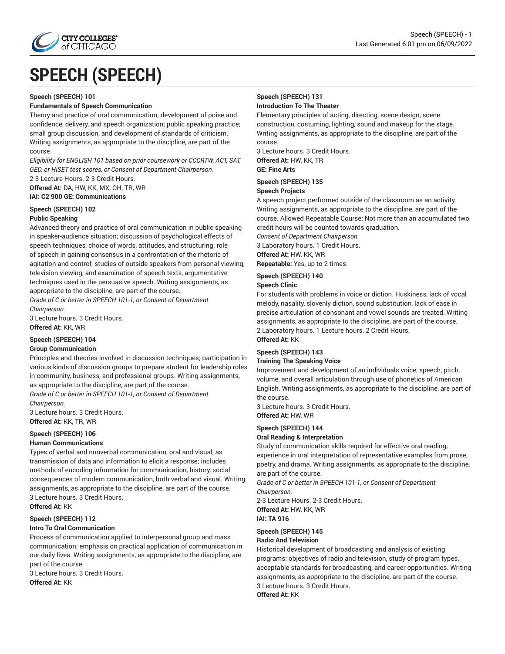

# **SPEECH (SPEECH)**

#### **Speech (SPEECH) 101**

#### **Fundamentals of Speech Communication**

Theory and practice of oral communication; development of poise and confidence, delivery, and speech organization; public speaking practice; small group discussion, and development of standards of criticism. Writing assignments, as appropriate to the discipline, are part of the course.

*Eligibility for ENGLISH 101 based on prior coursework or CCCRTW, ACT, SAT, GED, or HiSET test scores, or Consent of Department Chairperson.* 2-3 Lecture Hours. 2-3 Credit Hours.

**Offered At:** DA, HW, KK, MX, OH, TR, WR

# **IAI: C2 900 GE: Communications**

#### **Speech (SPEECH) 102 Public Speaking**

Advanced theory and practice of oral communication in public speaking in speaker-audience situation; discussion of psychological effects of speech techniques, choice of words, attitudes, and structuring; role of speech in gaining consensus in a confrontation of the rhetoric of agitation and control; studies of outside speakers from personal viewing, television viewing, and examination of speech texts, argumentative techniques used in the persuasive speech. Writing assignments, as appropriate to the discipline, are part of the course.

*Grade of C or better in SPEECH 101-1, or Consent of Department Chairperson.*

3 Lecture hours. 3 Credit Hours. **Offered At:** KK, WR

#### **Speech (SPEECH) 104**

#### **Group Communication**

Principles and theories involved in discussion techniques; participation in various kinds of discussion groups to prepare student for leadership roles in community, business, and professional groups. Writing assignments, as appropriate to the discipline, are part of the course.

*Grade of C or better in SPEECH 101-1, or Consent of Department Chairperson.*

3 Lecture hours. 3 Credit Hours. **Offered At:** KK, TR, WR

## **Speech (SPEECH) 106**

#### **Human Communications**

Types of verbal and nonverbal communication, oral and visual, as transmission of data and information to elicit a response; includes methods of encoding information for communication, history, social consequences of modern communication, both verbal and visual. Writing assignments, as appropriate to the discipline, are part of the course. 3 Lecture hours. 3 Credit Hours.

**Offered At:** KK

#### **Speech (SPEECH) 112 Intro To Oral Communication**

Process of communication applied to interpersonal group and mass communication; emphasis on practical application of communication in our daily lives. Writing assignments, as appropriate to the discipline, are part of the course.

3 Lecture hours. 3 Credit Hours. **Offered At:** KK

#### **Speech (SPEECH) 131 Introduction To The Theater**

Elementary principles of acting, directing, scene design, scene construction, costuming, lighting, sound and makeup for the stage. Writing assignments, as appropriate to the discipline, are part of the course.

3 Lecture hours. 3 Credit Hours. **Offered At:** HW, KK, TR

**GE: Fine Arts**

## **Speech (SPEECH) 135**

#### **Speech Projects**

A speech project performed outside of the classroom as an activity. Writing assignments, as appropriate to the discipline, are part of the course. Allowed Repeatable Course: Not more than an accumulated two credit hours will be counted towards graduation.

*Consent of Department Chairperson.* 3 Laboratory hours. 1 Credit Hours.

**Offered At:** HW, KK, WR

**Repeatable:** Yes, up to 2 times

# **Speech (SPEECH) 140**

**Speech Clinic**

For students with problems in voice or diction. Huskiness, lack of vocal melody, nasality, slovenly diction, sound substitution, lack of ease in precise articulation of consonant and vowel sounds are treated. Writing assignments, as appropriate to the discipline, are part of the course. 2 Laboratory hours. 1 Lecture hours. 2 Credit Hours. **Offered At:** KK

#### **Speech (SPEECH) 143**

#### **Training The Speaking Voice**

Improvement and development of an individuals voice, speech, pitch, volume, and overall articulation through use of phonetics of American English. Writing assignments, as appropriate to the discipline, are part of the course.

3 Lecture hours. 3 Credit Hours. **Offered At:** HW, WR

# **Speech (SPEECH) 144**

#### **Oral Reading & Interpretation**

Study of communication skills required for effective oral reading; experience in oral interpretation of representative examples from prose, poetry, and drama. Writing assignments, as appropriate to the discipline, are part of the course.

*Grade of C or better in SPEECH 101-1, or Consent of Department Chairperson.*

2-3 Lecture Hours. 2-3 Credit Hours. **Offered At:** HW, KK, WR **IAI: TA 916**

#### **Speech (SPEECH) 145 Radio And Television**

Historical development of broadcasting and analysis of existing programs; objectives of radio and television, study of program types, acceptable standards for broadcasting, and career opportunities. Writing assignments, as appropriate to the discipline, are part of the course. 3 Lecture hours. 3 Credit Hours. **Offered At:** KK